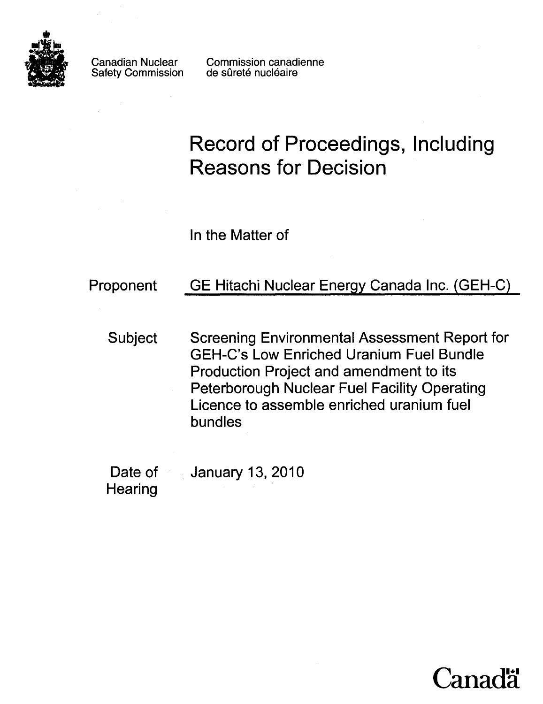

Canadian Nuclear Safety Commission

Commission canadienne de sûreté nucléaire

# **Record of Proceedings, Including Reasons for Decision**

In the Matter of

## Proponent GE Hitachi Nuclear Energy Canada Inc. (GEH-C)

Subject Screening Environmental Assessment Report for GEH-C's Low Enriched Uranium Fuel Bundle Production Project and amendment to its Peterborough Nuclear Fuel Facility Operating Licence to assemble enriched uranium fuel bundles

Date of January 13, 2010 **Hearing** 

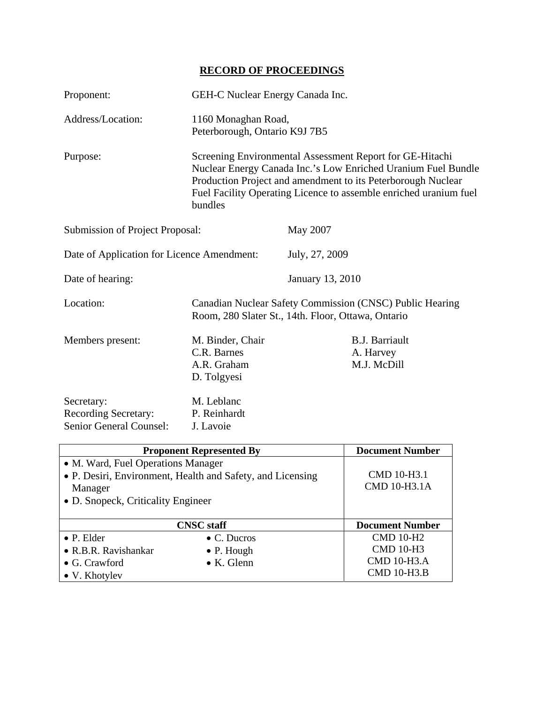### **RECORD OF PROCEEDINGS**

| Proponent:                                                           | GEH-C Nuclear Energy Canada Inc.                                                                                                                                                                                                                                          |                  |                                                   |
|----------------------------------------------------------------------|---------------------------------------------------------------------------------------------------------------------------------------------------------------------------------------------------------------------------------------------------------------------------|------------------|---------------------------------------------------|
| Address/Location:                                                    | 1160 Monaghan Road,<br>Peterborough, Ontario K9J 7B5                                                                                                                                                                                                                      |                  |                                                   |
| Purpose:                                                             | Screening Environmental Assessment Report for GE-Hitachi<br>Nuclear Energy Canada Inc.'s Low Enriched Uranium Fuel Bundle<br>Production Project and amendment to its Peterborough Nuclear<br>Fuel Facility Operating Licence to assemble enriched uranium fuel<br>bundles |                  |                                                   |
| Submission of Project Proposal:                                      |                                                                                                                                                                                                                                                                           | May 2007         |                                                   |
| Date of Application for Licence Amendment:                           |                                                                                                                                                                                                                                                                           | July, 27, 2009   |                                                   |
| Date of hearing:                                                     |                                                                                                                                                                                                                                                                           | January 13, 2010 |                                                   |
| Location:                                                            | Canadian Nuclear Safety Commission (CNSC) Public Hearing<br>Room, 280 Slater St., 14th. Floor, Ottawa, Ontario                                                                                                                                                            |                  |                                                   |
| Members present:                                                     | M. Binder, Chair<br>C.R. Barnes<br>A.R. Graham<br>D. Tolgyesi                                                                                                                                                                                                             |                  | <b>B.J. Barriault</b><br>A. Harvey<br>M.J. McDill |
| Secretary:<br><b>Recording Secretary:</b><br>Senior General Counsel: | M. Leblanc<br>P. Reinhardt<br>J. Lavoie                                                                                                                                                                                                                                   |                  |                                                   |

| <b>Proponent Represented By</b>                            |                     | <b>Document Number</b> |
|------------------------------------------------------------|---------------------|------------------------|
| • M. Ward, Fuel Operations Manager                         |                     |                        |
| • P. Desiri, Environment, Health and Safety, and Licensing |                     | CMD 10-H3.1            |
| Manager                                                    |                     | <b>CMD 10-H3.1A</b>    |
| • D. Snopeck, Criticality Engineer                         |                     |                        |
|                                                            |                     |                        |
| <b>CNSC</b> staff                                          |                     | <b>Document Number</b> |
| $\bullet$ P. Elder                                         | $\bullet$ C. Ducros | <b>CMD 10-H2</b>       |
| • R.B.R. Ravishankar                                       | $\bullet$ P. Hough  | <b>CMD 10-H3</b>       |
| $\bullet$ G. Crawford                                      | $\bullet$ K. Glenn  | <b>CMD 10-H3.A</b>     |
| • V. Khotylev                                              |                     | <b>CMD 10-H3.B</b>     |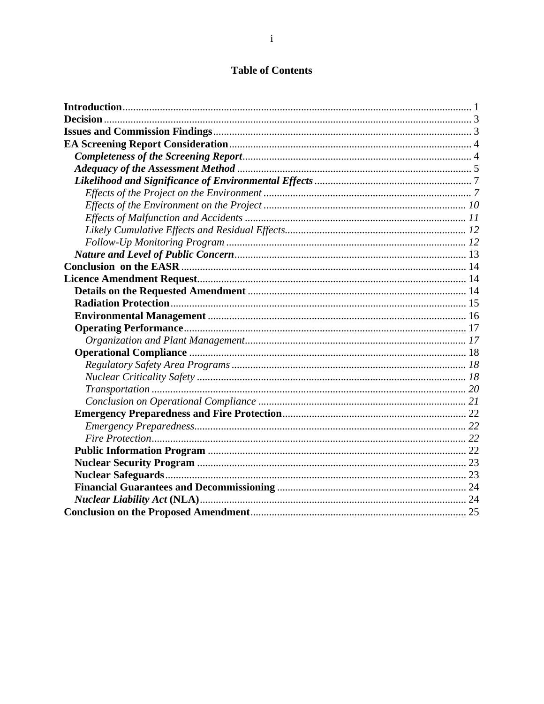### **Table of Contents**

| <b>Decision</b> |  |
|-----------------|--|
|                 |  |
|                 |  |
|                 |  |
|                 |  |
|                 |  |
|                 |  |
|                 |  |
|                 |  |
|                 |  |
|                 |  |
|                 |  |
|                 |  |
|                 |  |
|                 |  |
|                 |  |
|                 |  |
|                 |  |
|                 |  |
|                 |  |
|                 |  |
|                 |  |
|                 |  |
|                 |  |
|                 |  |
|                 |  |
|                 |  |
|                 |  |
|                 |  |
|                 |  |
|                 |  |
|                 |  |
|                 |  |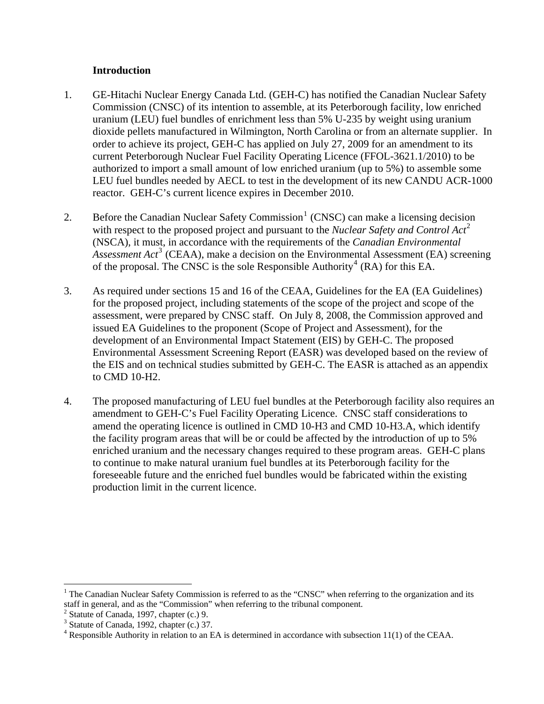#### **Introduction**

- <span id="page-3-0"></span>1. GE-Hitachi Nuclear Energy Canada Ltd. (GEH-C) has notified the Canadian Nuclear Safety Commission (CNSC) of its intention to assemble, at its Peterborough facility, low enriched uranium (LEU) fuel bundles of enrichment less than 5% U-235 by weight using uranium dioxide pellets manufactured in Wilmington, North Carolina or from an alternate supplier. In order to achieve its project, GEH-C has applied on July 27, 2009 for an amendment to its current Peterborough Nuclear Fuel Facility Operating Licence (FFOL-3621.1/2010) to be authorized to import a small amount of low enriched uranium (up to 5%) to assemble some LEU fuel bundles needed by AECL to test in the development of its new CANDU ACR-1000 reactor. GEH-C's current licence expires in December 2010.
- 2. Before the Canadian Nuclear Safety Commission<sup>[1](#page-3-1)</sup> (CNSC) can make a licensing decision with respect to the proposed project and pursuant to the *Nuclear Safety and Control Act*<sup>[2](#page-3-2)</sup> (NSCA), it must, in accordance with the requirements of the *Canadian Environmental*  Assessment Act<sup>[3](#page-3-3)</sup> (CEAA), make a decision on the Environmental Assessment (EA) screening of the proposal. The CNSC is the sole Responsible Authority<sup>[4](#page-3-4)</sup> (RA) for this EA.
- 3. As required under sections 15 and 16 of the CEAA, Guidelines for the EA (EA Guidelines) for the proposed project, including statements of the scope of the project and scope of the assessment, were prepared by CNSC staff. On July 8, 2008, the Commission approved and issued EA Guidelines to the proponent (Scope of Project and Assessment), for the development of an Environmental Impact Statement (EIS) by GEH-C. The proposed Environmental Assessment Screening Report (EASR) was developed based on the review of the EIS and on technical studies submitted by GEH-C. The EASR is attached as an appendix to CMD 10-H2.
- 4. The proposed manufacturing of LEU fuel bundles at the Peterborough facility also requires an amendment to GEH-C's Fuel Facility Operating Licence. CNSC staff considerations to amend the operating licence is outlined in CMD 10-H3 and CMD 10-H3.A, which identify the facility program areas that will be or could be affected by the introduction of up to 5% enriched uranium and the necessary changes required to these program areas. GEH-C plans to continue to make natural uranium fuel bundles at its Peterborough facility for the foreseeable future and the enriched fuel bundles would be fabricated within the existing production limit in the current licence.

 $\overline{a}$ 

<span id="page-3-1"></span><sup>&</sup>lt;sup>1</sup> The Canadian Nuclear Safety Commission is referred to as the "CNSC" when referring to the organization and its staff in general, and as the "Commission" when referring to the tribunal component.

<span id="page-3-2"></span><sup>&</sup>lt;sup>2</sup> Statute of Canada, 1997, chapter (c.) 9.<br><sup>3</sup> Statute of Canada, 1992, chapter (c.) 27.

<span id="page-3-3"></span> Statute of Canada, 1992, chapter (c.) 37.

<span id="page-3-4"></span><sup>&</sup>lt;sup>4</sup> Responsible Authority in relation to an EA is determined in accordance with subsection 11(1) of the CEAA.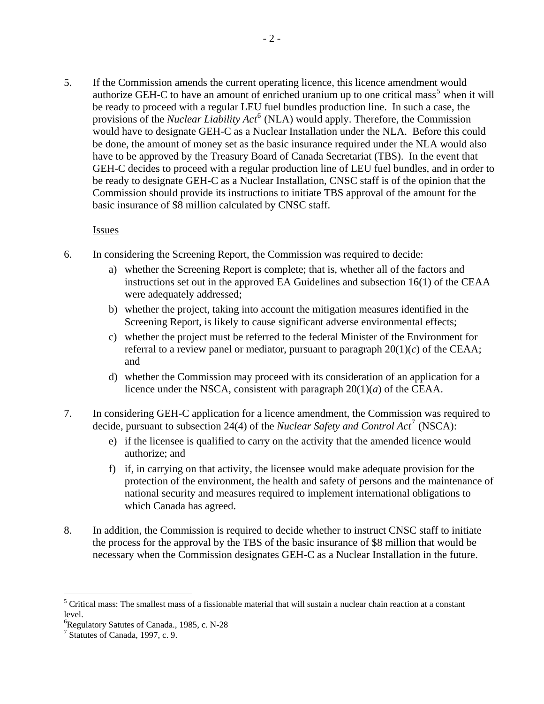5. If the Commission amends the current operating licence, this licence amendment would authorize GEH-C to have an amount of enriched uranium up to one critical mass<sup>[5](#page-4-0)</sup> when it will be ready to proceed with a regular LEU fuel bundles production line. In such a case, the provisions of the *Nuclear Liability Act*<sup>[6](#page-4-1)</sup> (NLA) would apply. Therefore, the Commission would have to designate GEH-C as a Nuclear Installation under the NLA. Before this could be done, the amount of money set as the basic insurance required under the NLA would also have to be approved by the Treasury Board of Canada Secretariat (TBS). In the event that GEH-C decides to proceed with a regular production line of LEU fuel bundles, and in order to be ready to designate GEH-C as a Nuclear Installation, CNSC staff is of the opinion that the Commission should provide its instructions to initiate TBS approval of the amount for the basic insurance of \$8 million calculated by CNSC staff.

#### **Issues**

- 6. In considering the Screening Report, the Commission was required to decide:
	- a) whether the Screening Report is complete; that is, whether all of the factors and instructions set out in the approved EA Guidelines and subsection 16(1) of the CEAA were adequately addressed;
	- b) whether the project, taking into account the mitigation measures identified in the Screening Report, is likely to cause significant adverse environmental effects;
	- c) whether the project must be referred to the federal Minister of the Environment for referral to a review panel or mediator, pursuant to paragraph 20(1)(*c*) of the CEAA; and
	- d) whether the Commission may proceed with its consideration of an application for a licence under the NSCA, consistent with paragraph 20(1)(*a*) of the CEAA.
- 7. In considering GEH-C application for a licence amendment, the Commission was required to decide, pursuant to subsection 24(4) of the *Nuclear Safety and Control Act*<sup>[7](#page-4-2)</sup> (NSCA):
	- e) if the licensee is qualified to carry on the activity that the amended licence would authorize; and
	- f) if, in carrying on that activity, the licensee would make adequate provision for the protection of the environment, the health and safety of persons and the maintenance of national security and measures required to implement international obligations to which Canada has agreed.
- 8. In addition, the Commission is required to decide whether to instruct CNSC staff to initiate the process for the approval by the TBS of the basic insurance of \$8 million that would be necessary when the Commission designates GEH-C as a Nuclear Installation in the future.

 $\overline{a}$ 

<span id="page-4-0"></span> $<sup>5</sup>$  Critical mass: The smallest mass of a fissionable material that will sustain a nuclear chain reaction at a constant</sup> level.

<span id="page-4-1"></span><sup>6</sup> Regulatory Satutes of Canada., 1985, c. N-28

<span id="page-4-2"></span><sup>7</sup> Statutes of Canada, 1997, c. 9.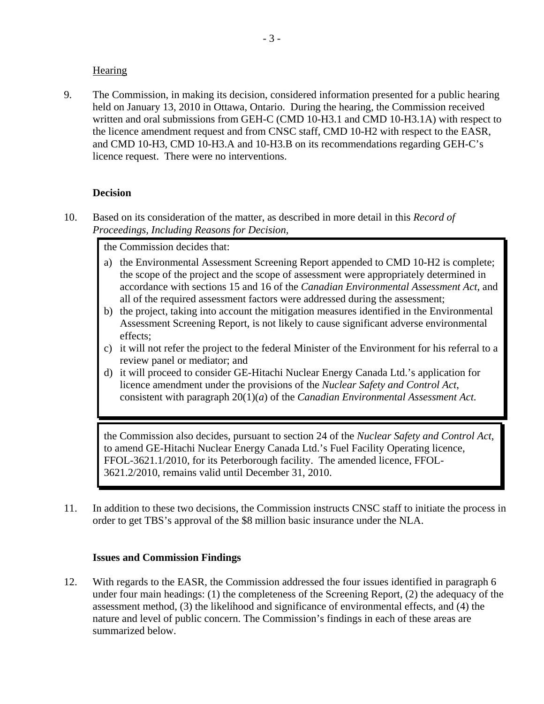#### **Hearing**

<span id="page-5-0"></span>9. The Commission, in making its decision, considered information presented for a public hearing held on January 13, 2010 in Ottawa, Ontario. During the hearing, the Commission received written and oral submissions from GEH-C (CMD 10-H3.1 and CMD 10-H3.1A) with respect to the licence amendment request and from CNSC staff, CMD 10-H2 with respect to the EASR, and CMD 10-H3, CMD 10-H3.A and 10-H3.B on its recommendations regarding GEH-C's licence request. There were no interventions.

#### **Decision**

10. Based on its consideration of the matter, as described in more detail in this *Record of Proceedings, Including Reasons for Decision,* 

the Commission decides that:

- a) the Environmental Assessment Screening Report appended to CMD 10-H2 is complete; the scope of the project and the scope of assessment were appropriately determined in accordance with sections 15 and 16 of the *Canadian Environmental Assessment Act*, and all of the required assessment factors were addressed during the assessment;
- b) the project, taking into account the mitigation measures identified in the Environmental Assessment Screening Report, is not likely to cause significant adverse environmental effects;
- c) it will not refer the project to the federal Minister of the Environment for his referral to a review panel or mediator; and
- d) it will proceed to consider GE-Hitachi Nuclear Energy Canada Ltd.'s application for licence amendment under the provisions of the *Nuclear Safety and Control Act*, consistent with paragraph 20(1)(*a*) of the *Canadian Environmental Assessment Act*.

the Commission also decides, pursuant to section 24 of the *Nuclear Safety and Control Act*, to amend GE-Hitachi Nuclear Energy Canada Ltd.'s Fuel Facility Operating licence, FFOL-3621.1/2010, for its Peterborough facility. The amended licence, FFOL-3621.2/2010, remains valid until December 31, 2010.

11. In addition to these two decisions, the Commission instructs CNSC staff to initiate the process in order to get TBS's approval of the \$8 million basic insurance under the NLA.

#### **Issues and Commission Findings**

12. With regards to the EASR, the Commission addressed the four issues identified in paragraph 6 under four main headings: (1) the completeness of the Screening Report, (2) the adequacy of the assessment method, (3) the likelihood and significance of environmental effects, and (4) the nature and level of public concern. The Commission's findings in each of these areas are summarized below.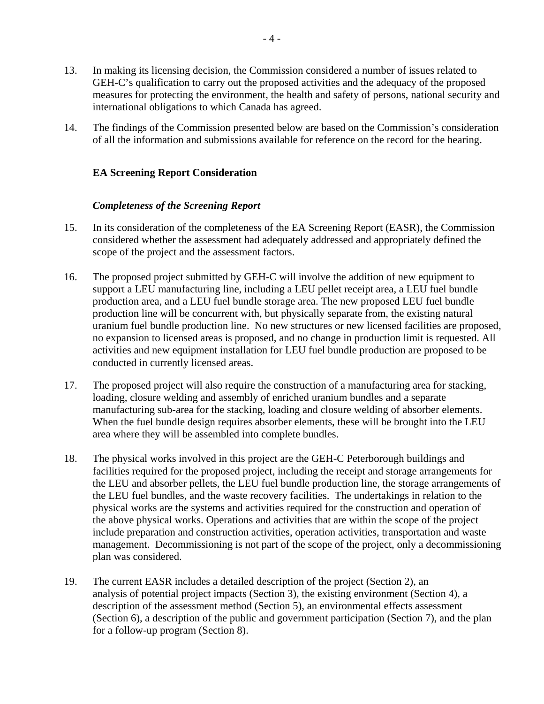- <span id="page-6-0"></span>13. In making its licensing decision, the Commission considered a number of issues related to GEH-C's qualification to carry out the proposed activities and the adequacy of the proposed measures for protecting the environment, the health and safety of persons, national security and international obligations to which Canada has agreed.
- 14. The findings of the Commission presented below are based on the Commission's consideration of all the information and submissions available for reference on the record for the hearing.

#### **EA Screening Report Consideration**

#### *Completeness of the Screening Report*

- 15. In its consideration of the completeness of the EA Screening Report (EASR), the Commission considered whether the assessment had adequately addressed and appropriately defined the scope of the project and the assessment factors.
- 16. The proposed project submitted by GEH-C will involve the addition of new equipment to support a LEU manufacturing line, including a LEU pellet receipt area, a LEU fuel bundle production area, and a LEU fuel bundle storage area. The new proposed LEU fuel bundle production line will be concurrent with, but physically separate from, the existing natural uranium fuel bundle production line. No new structures or new licensed facilities are proposed, no expansion to licensed areas is proposed, and no change in production limit is requested. All activities and new equipment installation for LEU fuel bundle production are proposed to be conducted in currently licensed areas.
- 17. The proposed project will also require the construction of a manufacturing area for stacking, loading, closure welding and assembly of enriched uranium bundles and a separate manufacturing sub-area for the stacking, loading and closure welding of absorber elements. When the fuel bundle design requires absorber elements, these will be brought into the LEU area where they will be assembled into complete bundles.
- 18. The physical works involved in this project are the GEH-C Peterborough buildings and facilities required for the proposed project, including the receipt and storage arrangements for the LEU and absorber pellets, the LEU fuel bundle production line, the storage arrangements of the LEU fuel bundles, and the waste recovery facilities. The undertakings in relation to the physical works are the systems and activities required for the construction and operation of the above physical works. Operations and activities that are within the scope of the project include preparation and construction activities, operation activities, transportation and waste management. Decommissioning is not part of the scope of the project, only a decommissioning plan was considered.
- 19. The current EASR includes a detailed description of the project (Section 2), an analysis of potential project impacts (Section 3), the existing environment (Section 4), a description of the assessment method (Section 5), an environmental effects assessment (Section 6), a description of the public and government participation (Section 7), and the plan for a follow-up program (Section 8).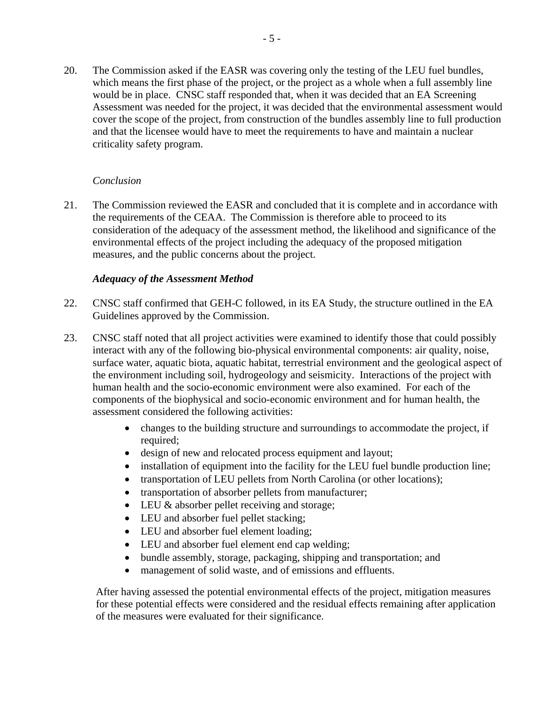<span id="page-7-0"></span>20. The Commission asked if the EASR was covering only the testing of the LEU fuel bundles, which means the first phase of the project, or the project as a whole when a full assembly line would be in place. CNSC staff responded that, when it was decided that an EA Screening Assessment was needed for the project, it was decided that the environmental assessment would cover the scope of the project, from construction of the bundles assembly line to full production and that the licensee would have to meet the requirements to have and maintain a nuclear criticality safety program.

#### *Conclusion*

21. The Commission reviewed the EASR and concluded that it is complete and in accordance with the requirements of the CEAA. The Commission is therefore able to proceed to its consideration of the adequacy of the assessment method, the likelihood and significance of the environmental effects of the project including the adequacy of the proposed mitigation measures, and the public concerns about the project.

#### *Adequacy of the Assessment Method*

- 22. CNSC staff confirmed that GEH-C followed, in its EA Study, the structure outlined in the EA Guidelines approved by the Commission.
- 23. CNSC staff noted that all project activities were examined to identify those that could possibly interact with any of the following bio-physical environmental components: air quality, noise, surface water, aquatic biota, aquatic habitat, terrestrial environment and the geological aspect of the environment including soil, hydrogeology and seismicity. Interactions of the project with human health and the socio-economic environment were also examined. For each of the components of the biophysical and socio-economic environment and for human health, the assessment considered the following activities:
	- changes to the building structure and surroundings to accommodate the project, if required;
	- design of new and relocated process equipment and layout;
	- installation of equipment into the facility for the LEU fuel bundle production line;
	- transportation of LEU pellets from North Carolina (or other locations);
	- transportation of absorber pellets from manufacturer;
	- LEU & absorber pellet receiving and storage;
	- LEU and absorber fuel pellet stacking;
	- LEU and absorber fuel element loading;
	- LEU and absorber fuel element end cap welding;
	- bundle assembly, storage, packaging, shipping and transportation; and
	- management of solid waste, and of emissions and effluents.

After having assessed the potential environmental effects of the project, mitigation measures for these potential effects were considered and the residual effects remaining after application of the measures were evaluated for their significance.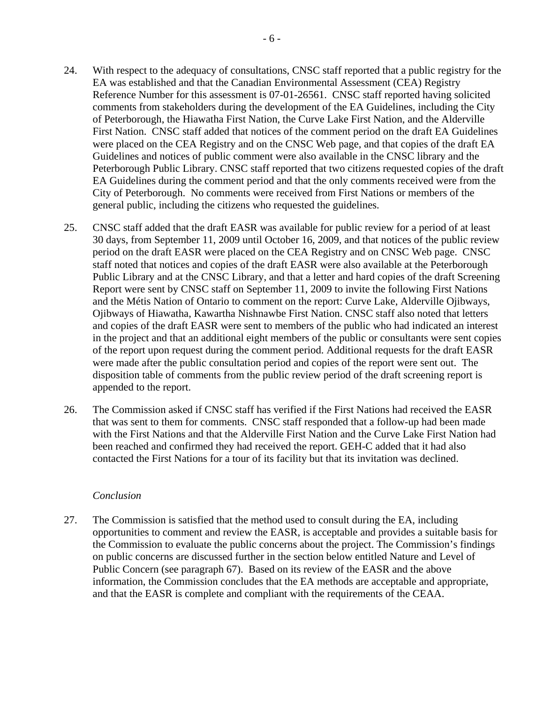- 24. With respect to the adequacy of consultations, CNSC staff reported that a public registry for the EA was established and that the Canadian Environmental Assessment (CEA) Registry Reference Number for this assessment is 07-01-26561. CNSC staff reported having solicited comments from stakeholders during the development of the EA Guidelines, including the City of Peterborough, the Hiawatha First Nation, the Curve Lake First Nation, and the Alderville First Nation. CNSC staff added that notices of the comment period on the draft EA Guidelines were placed on the CEA Registry and on the CNSC Web page, and that copies of the draft EA Guidelines and notices of public comment were also available in the CNSC library and the Peterborough Public Library. CNSC staff reported that two citizens requested copies of the draft EA Guidelines during the comment period and that the only comments received were from the City of Peterborough. No comments were received from First Nations or members of the general public, including the citizens who requested the guidelines.
- 25. CNSC staff added that the draft EASR was available for public review for a period of at least 30 days, from September 11, 2009 until October 16, 2009, and that notices of the public review period on the draft EASR were placed on the CEA Registry and on CNSC Web page. CNSC staff noted that notices and copies of the draft EASR were also available at the Peterborough Public Library and at the CNSC Library, and that a letter and hard copies of the draft Screening Report were sent by CNSC staff on September 11, 2009 to invite the following First Nations and the Métis Nation of Ontario to comment on the report: Curve Lake, Alderville Ojibways, Ojibways of Hiawatha, Kawartha Nishnawbe First Nation. CNSC staff also noted that letters and copies of the draft EASR were sent to members of the public who had indicated an interest in the project and that an additional eight members of the public or consultants were sent copies of the report upon request during the comment period. Additional requests for the draft EASR were made after the public consultation period and copies of the report were sent out. The disposition table of comments from the public review period of the draft screening report is appended to the report.
- 26. The Commission asked if CNSC staff has verified if the First Nations had received the EASR that was sent to them for comments. CNSC staff responded that a follow-up had been made with the First Nations and that the Alderville First Nation and the Curve Lake First Nation had been reached and confirmed they had received the report. GEH-C added that it had also contacted the First Nations for a tour of its facility but that its invitation was declined.

27. The Commission is satisfied that the method used to consult during the EA, including opportunities to comment and review the EASR, is acceptable and provides a suitable basis for the Commission to evaluate the public concerns about the project. The Commission's findings on public concerns are discussed further in the section below entitled Nature and Level of Public Concern (see paragraph 67). Based on its review of the EASR and the above information, the Commission concludes that the EA methods are acceptable and appropriate, and that the EASR is complete and compliant with the requirements of the CEAA.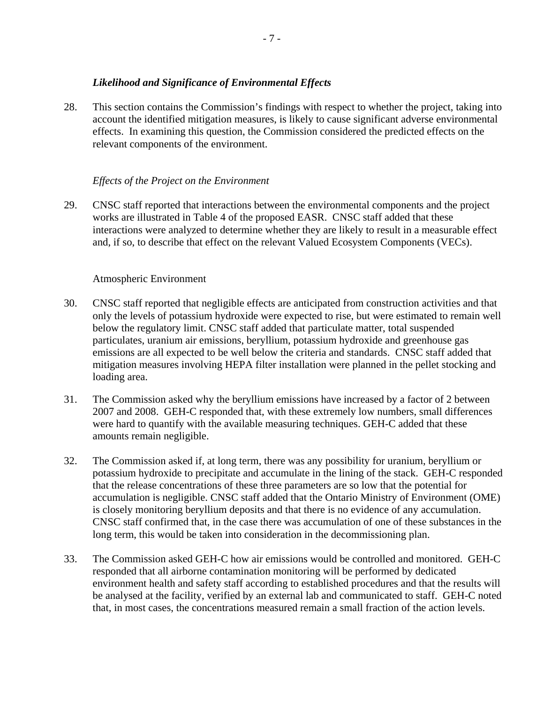#### *Likelihood and Significance of Environmental Effects*

<span id="page-9-0"></span>28. This section contains the Commission's findings with respect to whether the project, taking into account the identified mitigation measures, is likely to cause significant adverse environmental effects. In examining this question, the Commission considered the predicted effects on the relevant components of the environment.

#### *Effects of the Project on the Environment*

29. CNSC staff reported that interactions between the environmental components and the project works are illustrated in Table 4 of the proposed EASR. CNSC staff added that these interactions were analyzed to determine whether they are likely to result in a measurable effect and, if so, to describe that effect on the relevant Valued Ecosystem Components (VECs).

#### Atmospheric Environment

- 30. CNSC staff reported that negligible effects are anticipated from construction activities and that only the levels of potassium hydroxide were expected to rise, but were estimated to remain well below the regulatory limit. CNSC staff added that particulate matter, total suspended particulates, uranium air emissions, beryllium, potassium hydroxide and greenhouse gas emissions are all expected to be well below the criteria and standards. CNSC staff added that mitigation measures involving HEPA filter installation were planned in the pellet stocking and loading area.
- 31. The Commission asked why the beryllium emissions have increased by a factor of 2 between 2007 and 2008. GEH-C responded that, with these extremely low numbers, small differences were hard to quantify with the available measuring techniques. GEH-C added that these amounts remain negligible.
- 32. The Commission asked if, at long term, there was any possibility for uranium, beryllium or potassium hydroxide to precipitate and accumulate in the lining of the stack. GEH-C responded that the release concentrations of these three parameters are so low that the potential for accumulation is negligible. CNSC staff added that the Ontario Ministry of Environment (OME) is closely monitoring beryllium deposits and that there is no evidence of any accumulation. CNSC staff confirmed that, in the case there was accumulation of one of these substances in the long term, this would be taken into consideration in the decommissioning plan.
- 33. The Commission asked GEH-C how air emissions would be controlled and monitored. GEH-C responded that all airborne contamination monitoring will be performed by dedicated environment health and safety staff according to established procedures and that the results will be analysed at the facility, verified by an external lab and communicated to staff. GEH-C noted that, in most cases, the concentrations measured remain a small fraction of the action levels.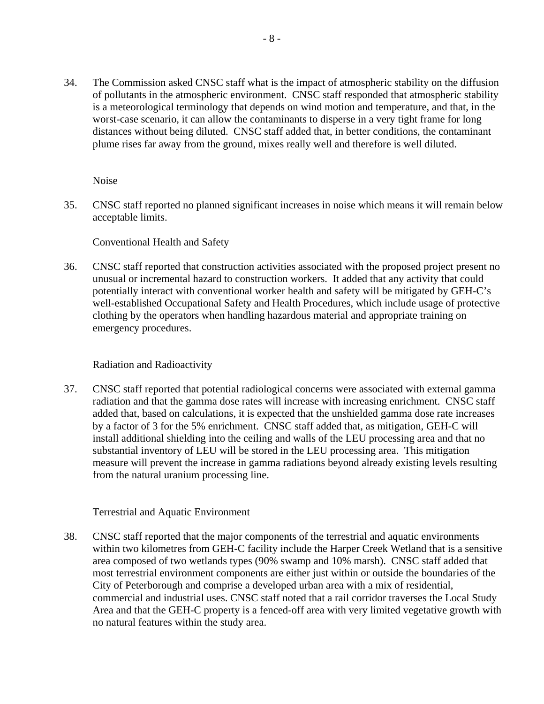plume rises far away from the ground, mixes really well and therefore is well diluted. Noise 34. The Commission asked CNSC staff what is the impact of atmospheric stability on the diffusion of pollutants in the atmospheric environment. CNSC staff responded that atmospheric stability is a meteorological terminology that depends on wind motion and temperature, and that, in the worst-case scenario, it can allow the contaminants to disperse in a very tight frame for long distances without being diluted. CNSC staff added that, in better conditions, the contaminant

35. CNSC staff reported no planned significant increases in noise which means it will remain below acceptable limits.

Conventional Health and Safety

36. CNSC staff reported that construction activities associated with the proposed project present no unusual or incremental hazard to construction workers. It added that any activity that could potentially interact with conventional worker health and safety will be mitigated by GEH-C's well-established Occupational Safety and Health Procedures, which include usage of protective clothing by the operators when handling hazardous material and appropriate training on emergency procedures.

Radiation and Radioactivity

37. CNSC staff reported that potential radiological concerns were associated with external gamma radiation and that the gamma dose rates will increase with increasing enrichment. CNSC staff added that, based on calculations, it is expected that the unshielded gamma dose rate increases by a factor of 3 for the 5% enrichment. CNSC staff added that, as mitigation, GEH-C will install additional shielding into the ceiling and walls of the LEU processing area and that no substantial inventory of LEU will be stored in the LEU processing area. This mitigation measure will prevent the increase in gamma radiations beyond already existing levels resulting from the natural uranium processing line.

Terrestrial and Aquatic Environment

38. CNSC staff reported that the major components of the terrestrial and aquatic environments within two kilometres from GEH-C facility include the Harper Creek Wetland that is a sensitive area composed of two wetlands types (90% swamp and 10% marsh). CNSC staff added that most terrestrial environment components are either just within or outside the boundaries of the City of Peterborough and comprise a developed urban area with a mix of residential, commercial and industrial uses. CNSC staff noted that a rail corridor traverses the Local Study Area and that the GEH-C property is a fenced-off area with very limited vegetative growth with no natural features within the study area.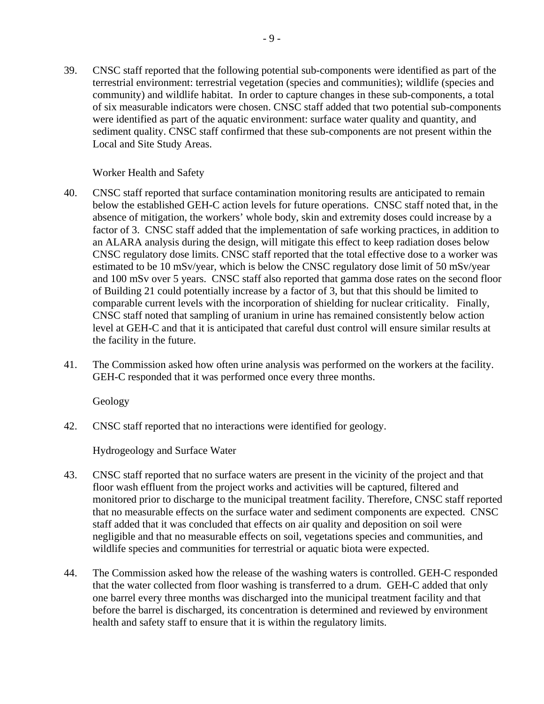39. CNSC staff reported that the following potential sub-components were identified as part of the terrestrial environment: terrestrial vegetation (species and communities); wildlife (species and community) and wildlife habitat. In order to capture changes in these sub-components, a total of six measurable indicators were chosen. CNSC staff added that two potential sub-components were identified as part of the aquatic environment: surface water quality and quantity, and sediment quality. CNSC staff confirmed that these sub-components are not present within the Local and Site Study Areas.

Worker Health and Safety

- 40. CNSC staff reported that surface contamination monitoring results are anticipated to remain below the established GEH-C action levels for future operations. CNSC staff noted that, in the absence of mitigation, the workers' whole body, skin and extremity doses could increase by a factor of 3. CNSC staff added that the implementation of safe working practices, in addition to an ALARA analysis during the design, will mitigate this effect to keep radiation doses below CNSC regulatory dose limits. CNSC staff reported that the total effective dose to a worker was estimated to be 10 mSv/year, which is below the CNSC regulatory dose limit of 50 mSv/year and 100 mSv over 5 years. CNSC staff also reported that gamma dose rates on the second floor of Building 21 could potentially increase by a factor of 3, but that this should be limited to comparable current levels with the incorporation of shielding for nuclear criticality. Finally, CNSC staff noted that sampling of uranium in urine has remained consistently below action level at GEH-C and that it is anticipated that careful dust control will ensure similar results at the facility in the future.
- 41. The Commission asked how often urine analysis was performed on the workers at the facility. GEH-C responded that it was performed once every three months.

Geology

42. CNSC staff reported that no interactions were identified for geology.

Hydrogeology and Surface Water

- 43. CNSC staff reported that no surface waters are present in the vicinity of the project and that floor wash effluent from the project works and activities will be captured, filtered and monitored prior to discharge to the municipal treatment facility. Therefore, CNSC staff reported that no measurable effects on the surface water and sediment components are expected. CNSC staff added that it was concluded that effects on air quality and deposition on soil were negligible and that no measurable effects on soil, vegetations species and communities, and wildlife species and communities for terrestrial or aquatic biota were expected.
- 44. The Commission asked how the release of the washing waters is controlled. GEH-C responded that the water collected from floor washing is transferred to a drum. GEH-C added that only one barrel every three months was discharged into the municipal treatment facility and that before the barrel is discharged, its concentration is determined and reviewed by environment health and safety staff to ensure that it is within the regulatory limits.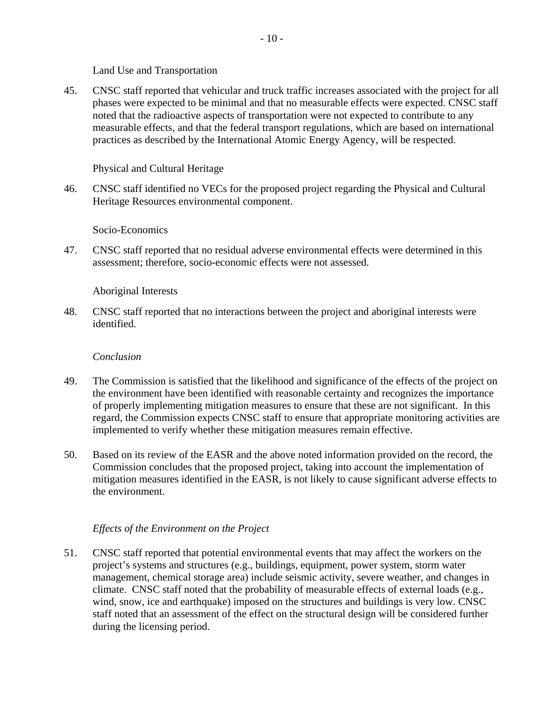Land Use and Transportation

<span id="page-12-0"></span>45. CNSC staff reported that vehicular and truck traffic increases associated with the project for all phases were expected to be minimal and that no measurable effects were expected. CNSC staff noted that the radioactive aspects of transportation were not expected to contribute to any measurable effects, and that the federal transport regulations, which are based on international practices as described by the International Atomic Energy Agency, will be respected.

#### Physical and Cultural Heritage

46. CNSC staff identified no VECs for the proposed project regarding the Physical and Cultural Heritage Resources environmental component.

#### Socio-Economics

47. CNSC staff reported that no residual adverse environmental effects were determined in this assessment; therefore, socio-economic effects were not assessed.

#### Aboriginal Interests

48. CNSC staff reported that no interactions between the project and aboriginal interests were identified.

#### *Conclusion*

- 49. The Commission is satisfied that the likelihood and significance of the effects of the project on the environment have been identified with reasonable certainty and recognizes the importance of properly implementing mitigation measures to ensure that these are not significant. In this regard, the Commission expects CNSC staff to ensure that appropriate monitoring activities are implemented to verify whether these mitigation measures remain effective.
- 50. Based on its review of the EASR and the above noted information provided on the record, the Commission concludes that the proposed project, taking into account the implementation of mitigation measures identified in the EASR, is not likely to cause significant adverse effects to the environment.

#### *Effects of the Environment on the Project*

51. CNSC staff reported that potential environmental events that may affect the workers on the project's systems and structures (e.g., buildings, equipment, power system, storm water management, chemical storage area) include seismic activity, severe weather, and changes in climate. CNSC staff noted that the probability of measurable effects of external loads (e.g., wind, snow, ice and earthquake) imposed on the structures and buildings is very low. CNSC staff noted that an assessment of the effect on the structural design will be considered further during the licensing period.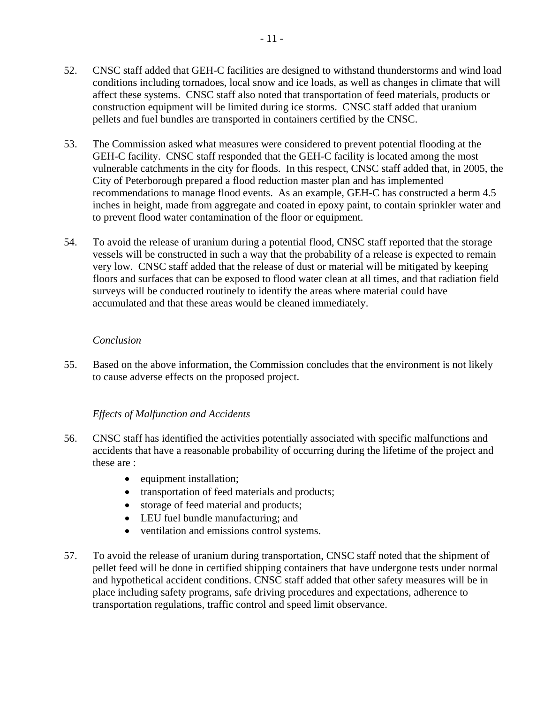- <span id="page-13-0"></span>52. CNSC staff added that GEH-C facilities are designed to withstand thunderstorms and wind load conditions including tornadoes, local snow and ice loads, as well as changes in climate that will affect these systems. CNSC staff also noted that transportation of feed materials, products or construction equipment will be limited during ice storms. CNSC staff added that uranium pellets and fuel bundles are transported in containers certified by the CNSC.
- 53. The Commission asked what measures were considered to prevent potential flooding at the GEH-C facility. CNSC staff responded that the GEH-C facility is located among the most vulnerable catchments in the city for floods. In this respect, CNSC staff added that, in 2005, the City of Peterborough prepared a flood reduction master plan and has implemented recommendations to manage flood events. As an example, GEH-C has constructed a berm 4.5 inches in height, made from aggregate and coated in epoxy paint, to contain sprinkler water and to prevent flood water contamination of the floor or equipment.
- 54. To avoid the release of uranium during a potential flood, CNSC staff reported that the storage vessels will be constructed in such a way that the probability of a release is expected to remain very low. CNSC staff added that the release of dust or material will be mitigated by keeping floors and surfaces that can be exposed to flood water clean at all times, and that radiation field surveys will be conducted routinely to identify the areas where material could have accumulated and that these areas would be cleaned immediately.

55. Based on the above information, the Commission concludes that the environment is not likely to cause adverse effects on the proposed project.

#### *Effects of Malfunction and Accidents*

- 56. CNSC staff has identified the activities potentially associated with specific malfunctions and accidents that have a reasonable probability of occurring during the lifetime of the project and these are :
	- equipment installation;
	- transportation of feed materials and products;
	- storage of feed material and products;
	- LEU fuel bundle manufacturing; and
	- ventilation and emissions control systems.
- 57. To avoid the release of uranium during transportation, CNSC staff noted that the shipment of pellet feed will be done in certified shipping containers that have undergone tests under normal and hypothetical accident conditions. CNSC staff added that other safety measures will be in place including safety programs, safe driving procedures and expectations, adherence to transportation regulations, traffic control and speed limit observance.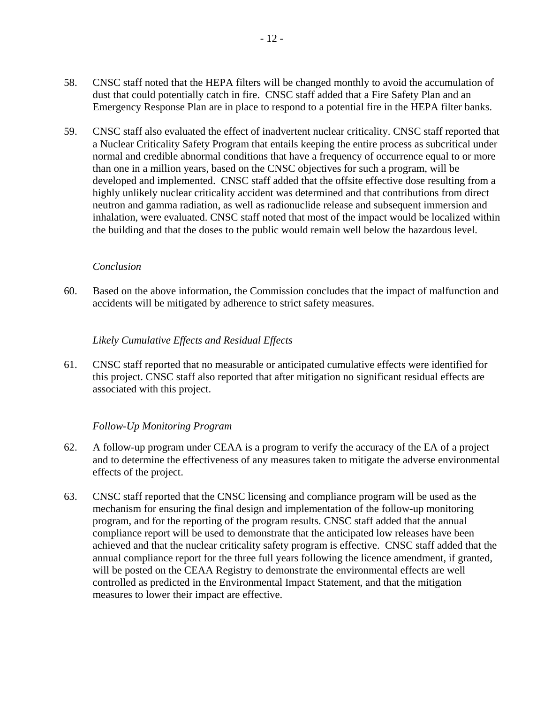- <span id="page-14-0"></span>58. CNSC staff noted that the HEPA filters will be changed monthly to avoid the accumulation of dust that could potentially catch in fire. CNSC staff added that a Fire Safety Plan and an Emergency Response Plan are in place to respond to a potential fire in the HEPA filter banks.
- 59. CNSC staff also evaluated the effect of inadvertent nuclear criticality. CNSC staff reported that a Nuclear Criticality Safety Program that entails keeping the entire process as subcritical under normal and credible abnormal conditions that have a frequency of occurrence equal to or more than one in a million years, based on the CNSC objectives for such a program, will be developed and implemented. CNSC staff added that the offsite effective dose resulting from a highly unlikely nuclear criticality accident was determined and that contributions from direct neutron and gamma radiation, as well as radionuclide release and subsequent immersion and inhalation, were evaluated. CNSC staff noted that most of the impact would be localized within the building and that the doses to the public would remain well below the hazardous level.

60. Based on the above information, the Commission concludes that the impact of malfunction and accidents will be mitigated by adherence to strict safety measures.

#### *Likely Cumulative Effects and Residual Effects*

61. CNSC staff reported that no measurable or anticipated cumulative effects were identified for this project. CNSC staff also reported that after mitigation no significant residual effects are associated with this project.

#### *Follow-Up Monitoring Program*

- 62. A follow-up program under CEAA is a program to verify the accuracy of the EA of a project and to determine the effectiveness of any measures taken to mitigate the adverse environmental effects of the project.
- 63. CNSC staff reported that the CNSC licensing and compliance program will be used as the mechanism for ensuring the final design and implementation of the follow-up monitoring program, and for the reporting of the program results. CNSC staff added that the annual compliance report will be used to demonstrate that the anticipated low releases have been achieved and that the nuclear criticality safety program is effective. CNSC staff added that the annual compliance report for the three full years following the licence amendment, if granted, will be posted on the CEAA Registry to demonstrate the environmental effects are well controlled as predicted in the Environmental Impact Statement, and that the mitigation measures to lower their impact are effective.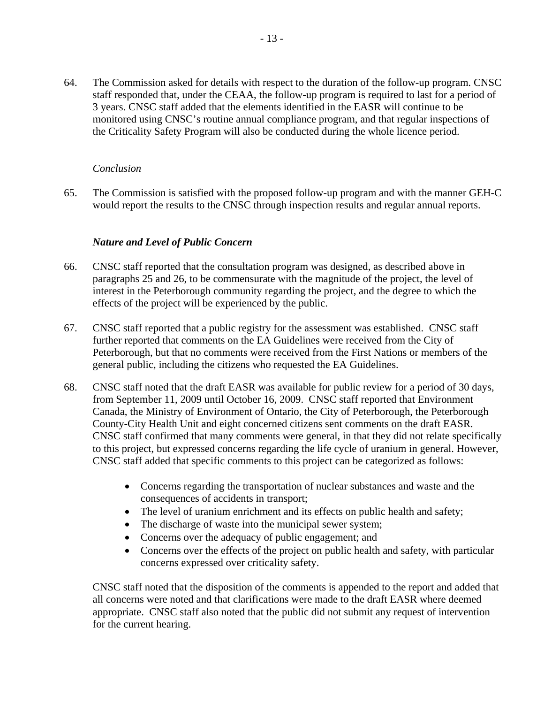<span id="page-15-0"></span>64. The Commission asked for details with respect to the duration of the follow-up program. CNSC staff responded that, under the CEAA, the follow-up program is required to last for a period of 3 years. CNSC staff added that the elements identified in the EASR will continue to be monitored using CNSC's routine annual compliance program, and that regular inspections of the Criticality Safety Program will also be conducted during the whole licence period.

#### *Conclusion*

65. The Commission is satisfied with the proposed follow-up program and with the manner GEH-C would report the results to the CNSC through inspection results and regular annual reports.

#### *Nature and Level of Public Concern*

- 66. CNSC staff reported that the consultation program was designed, as described above in paragraphs 25 and 26, to be commensurate with the magnitude of the project, the level of interest in the Peterborough community regarding the project, and the degree to which the effects of the project will be experienced by the public.
- 67. CNSC staff reported that a public registry for the assessment was established. CNSC staff further reported that comments on the EA Guidelines were received from the City of Peterborough, but that no comments were received from the First Nations or members of the general public, including the citizens who requested the EA Guidelines.
- 68. CNSC staff noted that the draft EASR was available for public review for a period of 30 days, from September 11, 2009 until October 16, 2009. CNSC staff reported that Environment Canada, the Ministry of Environment of Ontario, the City of Peterborough, the Peterborough County-City Health Unit and eight concerned citizens sent comments on the draft EASR. CNSC staff confirmed that many comments were general, in that they did not relate specifically to this project, but expressed concerns regarding the life cycle of uranium in general. However, CNSC staff added that specific comments to this project can be categorized as follows:
	- Concerns regarding the transportation of nuclear substances and waste and the consequences of accidents in transport;
	- The level of uranium enrichment and its effects on public health and safety;
	- The discharge of waste into the municipal sewer system;
	- Concerns over the adequacy of public engagement; and
	- Concerns over the effects of the project on public health and safety, with particular concerns expressed over criticality safety.

CNSC staff noted that the disposition of the comments is appended to the report and added that all concerns were noted and that clarifications were made to the draft EASR where deemed appropriate. CNSC staff also noted that the public did not submit any request of intervention for the current hearing.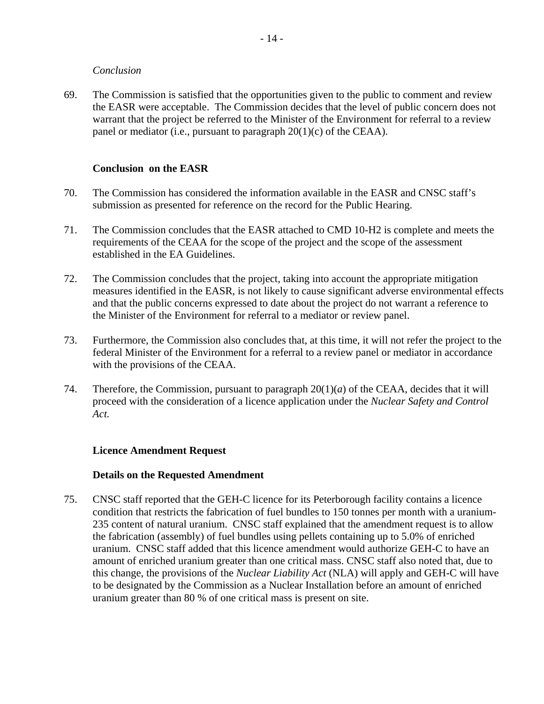<span id="page-16-0"></span>69. The Commission is satisfied that the opportunities given to the public to comment and review the EASR were acceptable. The Commission decides that the level of public concern does not warrant that the project be referred to the Minister of the Environment for referral to a review panel or mediator (i.e., pursuant to paragraph 20(1)(c) of the CEAA).

#### **Conclusion on the EASR**

- 70. The Commission has considered the information available in the EASR and CNSC staff's submission as presented for reference on the record for the Public Hearing.
- 71. The Commission concludes that the EASR attached to CMD 10-H2 is complete and meets the requirements of the CEAA for the scope of the project and the scope of the assessment established in the EA Guidelines.
- 72. The Commission concludes that the project, taking into account the appropriate mitigation measures identified in the EASR, is not likely to cause significant adverse environmental effects and that the public concerns expressed to date about the project do not warrant a reference to the Minister of the Environment for referral to a mediator or review panel.
- 73. Furthermore, the Commission also concludes that, at this time, it will not refer the project to the federal Minister of the Environment for a referral to a review panel or mediator in accordance with the provisions of the CEAA.
- 74. Therefore, the Commission, pursuant to paragraph  $20(1)(a)$  of the CEAA, decides that it will proceed with the consideration of a licence application under the *Nuclear Safety and Control Act.*

#### **Licence Amendment Request**

#### **Details on the Requested Amendment**

75. CNSC staff reported that the GEH-C licence for its Peterborough facility contains a licence condition that restricts the fabrication of fuel bundles to 150 tonnes per month with a uranium-235 content of natural uranium. CNSC staff explained that the amendment request is to allow the fabrication (assembly) of fuel bundles using pellets containing up to 5.0% of enriched uranium. CNSC staff added that this licence amendment would authorize GEH-C to have an amount of enriched uranium greater than one critical mass. CNSC staff also noted that, due to this change, the provisions of the *Nuclear Liability Act* (NLA) will apply and GEH-C will have to be designated by the Commission as a Nuclear Installation before an amount of enriched uranium greater than 80 % of one critical mass is present on site.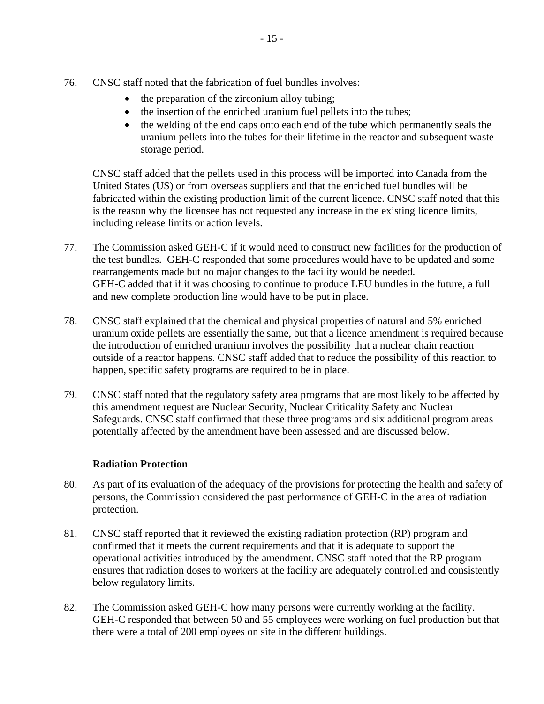- <span id="page-17-0"></span>76. CNSC staff noted that the fabrication of fuel bundles involves:
	- the preparation of the zirconium alloy tubing;
	- the insertion of the enriched uranium fuel pellets into the tubes;
	- the welding of the end caps onto each end of the tube which permanently seals the uranium pellets into the tubes for their lifetime in the reactor and subsequent waste storage period.

CNSC staff added that the pellets used in this process will be imported into Canada from the United States (US) or from overseas suppliers and that the enriched fuel bundles will be fabricated within the existing production limit of the current licence. CNSC staff noted that this is the reason why the licensee has not requested any increase in the existing licence limits, including release limits or action levels.

- 77. The Commission asked GEH-C if it would need to construct new facilities for the production of the test bundles. GEH-C responded that some procedures would have to be updated and some rearrangements made but no major changes to the facility would be needed. GEH-C added that if it was choosing to continue to produce LEU bundles in the future, a full and new complete production line would have to be put in place.
- 78. CNSC staff explained that the chemical and physical properties of natural and 5% enriched uranium oxide pellets are essentially the same, but that a licence amendment is required because the introduction of enriched uranium involves the possibility that a nuclear chain reaction outside of a reactor happens. CNSC staff added that to reduce the possibility of this reaction to happen, specific safety programs are required to be in place.
- 79. CNSC staff noted that the regulatory safety area programs that are most likely to be affected by this amendment request are Nuclear Security, Nuclear Criticality Safety and Nuclear Safeguards. CNSC staff confirmed that these three programs and six additional program areas potentially affected by the amendment have been assessed and are discussed below.

#### **Radiation Protection**

- 80. As part of its evaluation of the adequacy of the provisions for protecting the health and safety of persons, the Commission considered the past performance of GEH-C in the area of radiation protection.
- 81. CNSC staff reported that it reviewed the existing radiation protection (RP) program and confirmed that it meets the current requirements and that it is adequate to support the operational activities introduced by the amendment. CNSC staff noted that the RP program ensures that radiation doses to workers at the facility are adequately controlled and consistently below regulatory limits.
- 82. The Commission asked GEH-C how many persons were currently working at the facility. GEH-C responded that between 50 and 55 employees were working on fuel production but that there were a total of 200 employees on site in the different buildings.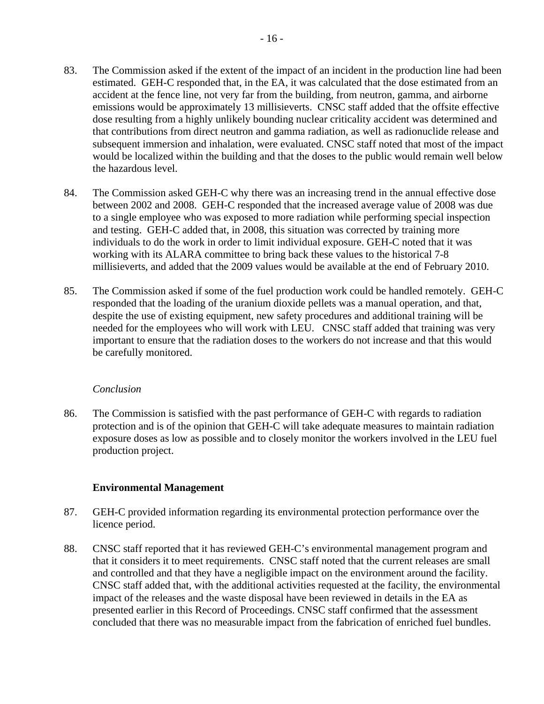- <span id="page-18-0"></span>83. The Commission asked if the extent of the impact of an incident in the production line had been estimated. GEH-C responded that, in the EA, it was calculated that the dose estimated from an accident at the fence line, not very far from the building, from neutron, gamma, and airborne emissions would be approximately 13 millisieverts. CNSC staff added that the offsite effective dose resulting from a highly unlikely bounding nuclear criticality accident was determined and that contributions from direct neutron and gamma radiation, as well as radionuclide release and subsequent immersion and inhalation, were evaluated. CNSC staff noted that most of the impact would be localized within the building and that the doses to the public would remain well below the hazardous level.
- 84. The Commission asked GEH-C why there was an increasing trend in the annual effective dose between 2002 and 2008. GEH-C responded that the increased average value of 2008 was due to a single employee who was exposed to more radiation while performing special inspection and testing. GEH-C added that, in 2008, this situation was corrected by training more individuals to do the work in order to limit individual exposure. GEH-C noted that it was working with its ALARA committee to bring back these values to the historical 7-8 millisieverts, and added that the 2009 values would be available at the end of February 2010.
- 85. The Commission asked if some of the fuel production work could be handled remotely. GEH-C responded that the loading of the uranium dioxide pellets was a manual operation, and that, despite the use of existing equipment, new safety procedures and additional training will be needed for the employees who will work with LEU. CNSC staff added that training was very important to ensure that the radiation doses to the workers do not increase and that this would be carefully monitored.

86. The Commission is satisfied with the past performance of GEH-C with regards to radiation protection and is of the opinion that GEH-C will take adequate measures to maintain radiation exposure doses as low as possible and to closely monitor the workers involved in the LEU fuel production project.

#### **Environmental Management**

- 87. GEH-C provided information regarding its environmental protection performance over the licence period.
- 88. CNSC staff reported that it has reviewed GEH-C's environmental management program and that it considers it to meet requirements. CNSC staff noted that the current releases are small and controlled and that they have a negligible impact on the environment around the facility. CNSC staff added that, with the additional activities requested at the facility, the environmental impact of the releases and the waste disposal have been reviewed in details in the EA as presented earlier in this Record of Proceedings. CNSC staff confirmed that the assessment concluded that there was no measurable impact from the fabrication of enriched fuel bundles.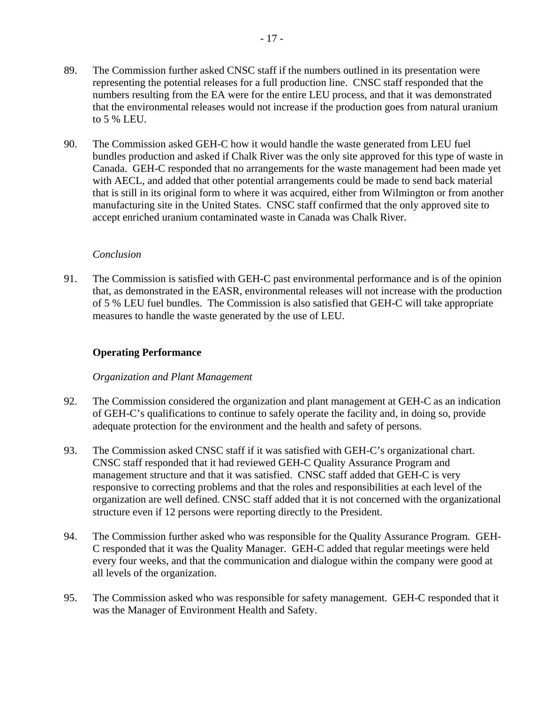<span id="page-19-0"></span>90. The Commission asked GEH-C how it would handle the waste generated from LEU fuel bundles production and asked if Chalk River was the only site approved for this type of waste in Canada. GEH-C responded that no arrangements for the waste management had been made yet with AECL, and added that other potential arrangements could be made to send back material that is still in its original form to where it was acquired, either from Wilmington or from another manufacturing site in the United States. CNSC staff confirmed that the only approved site to accept enriched uranium contaminated waste in Canada was Chalk River.

#### *Conclusion*

91. The Commission is satisfied with GEH-C past environmental performance and is of the opinion that, as demonstrated in the EASR, environmental releases will not increase with the production of 5 % LEU fuel bundles. The Commission is also satisfied that GEH-C will take appropriate measures to handle the waste generated by the use of LEU.

#### **Operating Performance**

#### *Organization and Plant Management*

- 92. The Commission considered the organization and plant management at GEH-C as an indication of GEH-C's qualifications to continue to safely operate the facility and, in doing so, provide adequate protection for the environment and the health and safety of persons.
- 93. The Commission asked CNSC staff if it was satisfied with GEH-C's organizational chart. CNSC staff responded that it had reviewed GEH-C Quality Assurance Program and management structure and that it was satisfied. CNSC staff added that GEH-C is very responsive to correcting problems and that the roles and responsibilities at each level of the organization are well defined. CNSC staff added that it is not concerned with the organizational structure even if 12 persons were reporting directly to the President.
- 94. The Commission further asked who was responsible for the Quality Assurance Program. GEH-C responded that it was the Quality Manager. GEH-C added that regular meetings were held every four weeks, and that the communication and dialogue within the company were good at all levels of the organization.
- 95. The Commission asked who was responsible for safety management. GEH-C responded that it was the Manager of Environment Health and Safety.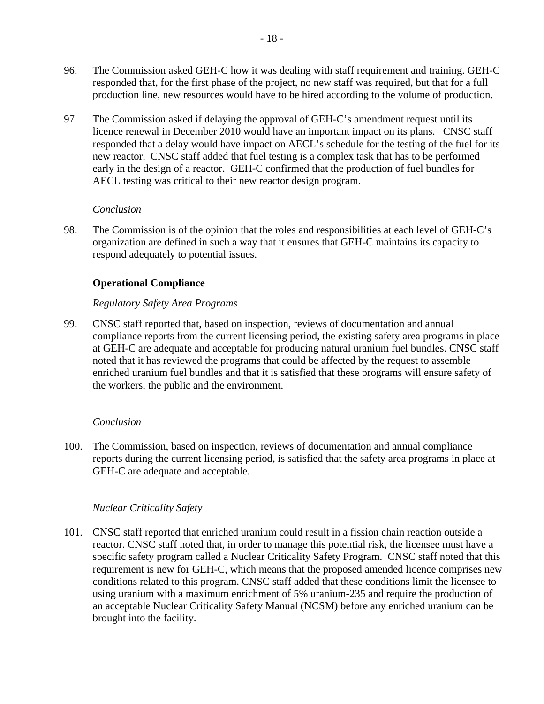- <span id="page-20-0"></span>96. The Commission asked GEH-C how it was dealing with staff requirement and training. GEH-C responded that, for the first phase of the project, no new staff was required, but that for a full production line, new resources would have to be hired according to the volume of production.
- 97. The Commission asked if delaying the approval of GEH-C's amendment request until its licence renewal in December 2010 would have an important impact on its plans. CNSC staff responded that a delay would have impact on AECL's schedule for the testing of the fuel for its new reactor. CNSC staff added that fuel testing is a complex task that has to be performed early in the design of a reactor. GEH-C confirmed that the production of fuel bundles for AECL testing was critical to their new reactor design program.

98. The Commission is of the opinion that the roles and responsibilities at each level of GEH-C's organization are defined in such a way that it ensures that GEH-C maintains its capacity to respond adequately to potential issues.

#### **Operational Compliance**

#### *Regulatory Safety Area Programs*

99. CNSC staff reported that, based on inspection, reviews of documentation and annual compliance reports from the current licensing period, the existing safety area programs in place at GEH-C are adequate and acceptable for producing natural uranium fuel bundles. CNSC staff noted that it has reviewed the programs that could be affected by the request to assemble enriched uranium fuel bundles and that it is satisfied that these programs will ensure safety of the workers, the public and the environment.

#### *Conclusion*

100. The Commission, based on inspection, reviews of documentation and annual compliance reports during the current licensing period, is satisfied that the safety area programs in place at GEH-C are adequate and acceptable.

#### *Nuclear Criticality Safety*

101. CNSC staff reported that enriched uranium could result in a fission chain reaction outside a reactor. CNSC staff noted that, in order to manage this potential risk, the licensee must have a specific safety program called a Nuclear Criticality Safety Program. CNSC staff noted that this requirement is new for GEH-C, which means that the proposed amended licence comprises new conditions related to this program. CNSC staff added that these conditions limit the licensee to using uranium with a maximum enrichment of 5% uranium-235 and require the production of an acceptable Nuclear Criticality Safety Manual (NCSM) before any enriched uranium can be brought into the facility.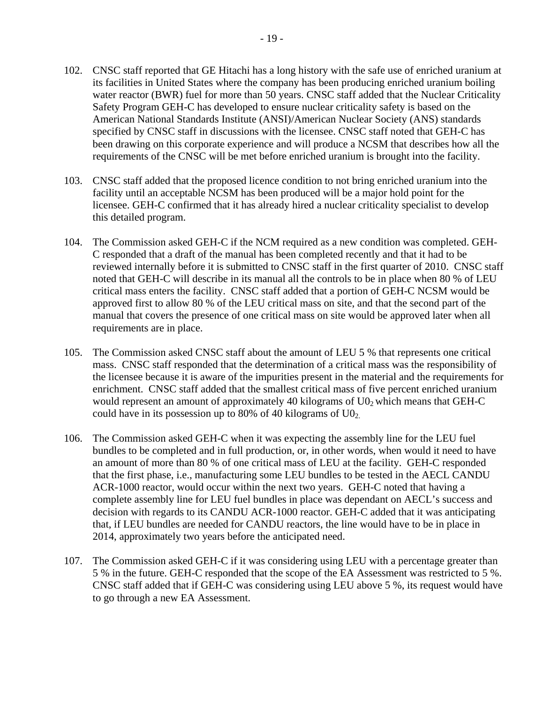- 102. CNSC staff reported that GE Hitachi has a long history with the safe use of enriched uranium at its facilities in United States where the company has been producing enriched uranium boiling water reactor (BWR) fuel for more than 50 years. CNSC staff added that the Nuclear Criticality Safety Program GEH-C has developed to ensure nuclear criticality safety is based on the American National Standards Institute (ANSI)/American Nuclear Society (ANS) standards specified by CNSC staff in discussions with the licensee. CNSC staff noted that GEH-C has been drawing on this corporate experience and will produce a NCSM that describes how all the requirements of the CNSC will be met before enriched uranium is brought into the facility.
- 103. CNSC staff added that the proposed licence condition to not bring enriched uranium into the facility until an acceptable NCSM has been produced will be a major hold point for the licensee. GEH-C confirmed that it has already hired a nuclear criticality specialist to develop this detailed program.
- 104. The Commission asked GEH-C if the NCM required as a new condition was completed. GEH-C responded that a draft of the manual has been completed recently and that it had to be reviewed internally before it is submitted to CNSC staff in the first quarter of 2010. CNSC staff noted that GEH-C will describe in its manual all the controls to be in place when 80 % of LEU critical mass enters the facility. CNSC staff added that a portion of GEH-C NCSM would be approved first to allow 80 % of the LEU critical mass on site, and that the second part of the manual that covers the presence of one critical mass on site would be approved later when all requirements are in place.
- 105. The Commission asked CNSC staff about the amount of LEU 5 % that represents one critical mass. CNSC staff responded that the determination of a critical mass was the responsibility of the licensee because it is aware of the impurities present in the material and the requirements for enrichment. CNSC staff added that the smallest critical mass of five percent enriched uranium would represent an amount of approximately 40 kilograms of  $U_0$  which means that GEH-C could have in its possession up to 80% of 40 kilograms of  $U_2$ .
- 106. The Commission asked GEH-C when it was expecting the assembly line for the LEU fuel bundles to be completed and in full production, or, in other words, when would it need to have an amount of more than 80 % of one critical mass of LEU at the facility. GEH-C responded that the first phase, i.e., manufacturing some LEU bundles to be tested in the AECL CANDU ACR-1000 reactor, would occur within the next two years. GEH-C noted that having a complete assembly line for LEU fuel bundles in place was dependant on AECL's success and decision with regards to its CANDU ACR-1000 reactor. GEH-C added that it was anticipating that, if LEU bundles are needed for CANDU reactors, the line would have to be in place in 2014, approximately two years before the anticipated need.
- 107. The Commission asked GEH-C if it was considering using LEU with a percentage greater than 5 % in the future. GEH-C responded that the scope of the EA Assessment was restricted to 5 %. CNSC staff added that if GEH-C was considering using LEU above 5 %, its request would have to go through a new EA Assessment.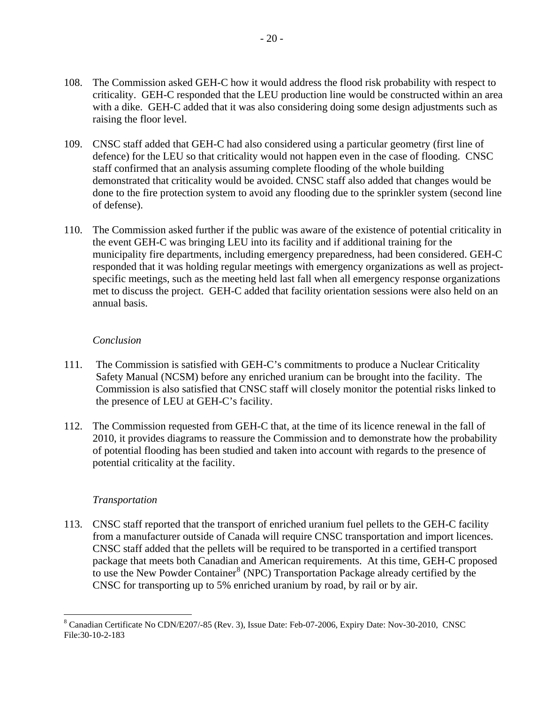- <span id="page-22-0"></span>108. The Commission asked GEH-C how it would address the flood risk probability with respect to criticality. GEH-C responded that the LEU production line would be constructed within an area with a dike. GEH-C added that it was also considering doing some design adjustments such as raising the floor level.
- 109. CNSC staff added that GEH-C had also considered using a particular geometry (first line of defence) for the LEU so that criticality would not happen even in the case of flooding. CNSC staff confirmed that an analysis assuming complete flooding of the whole building demonstrated that criticality would be avoided. CNSC staff also added that changes would be done to the fire protection system to avoid any flooding due to the sprinkler system (second line of defense).
- 110. The Commission asked further if the public was aware of the existence of potential criticality in the event GEH-C was bringing LEU into its facility and if additional training for the municipality fire departments, including emergency preparedness, had been considered. GEH-C responded that it was holding regular meetings with emergency organizations as well as projectspecific meetings, such as the meeting held last fall when all emergency response organizations met to discuss the project. GEH-C added that facility orientation sessions were also held on an annual basis.

- 111. The Commission is satisfied with GEH-C's commitments to produce a Nuclear Criticality Safety Manual (NCSM) before any enriched uranium can be brought into the facility. The Commission is also satisfied that CNSC staff will closely monitor the potential risks linked to the presence of LEU at GEH-C's facility.
- 112. The Commission requested from GEH-C that, at the time of its licence renewal in the fall of 2010, it provides diagrams to reassure the Commission and to demonstrate how the probability of potential flooding has been studied and taken into account with regards to the presence of potential criticality at the facility.

#### *Transportation*

 $\overline{a}$ 

113. CNSC staff reported that the transport of enriched uranium fuel pellets to the GEH-C facility from a manufacturer outside of Canada will require CNSC transportation and import licences. CNSC staff added that the pellets will be required to be transported in a certified transport package that meets both Canadian and American requirements. At this time, GEH-C proposed to use the New Powder Container $8$  (NPC) Transportation Package already certified by the CNSC for transporting up to 5% enriched uranium by road, by rail or by air.

<span id="page-22-1"></span><sup>&</sup>lt;sup>8</sup> Canadian Certificate No CDN/E207/-85 (Rev. 3), Issue Date: Feb-07-2006, Expiry Date: Nov-30-2010, CNSC File:30-10-2-183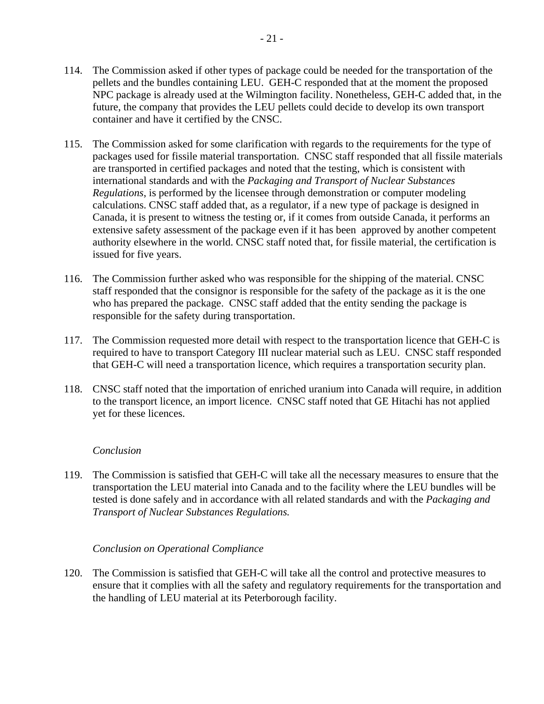- <span id="page-23-0"></span>115. The Commission asked for some clarification with regards to the requirements for the type of packages used for fissile material transportation. CNSC staff responded that all fissile materials are transported in certified packages and noted that the testing, which is consistent with international standards and with the *Packaging and Transport of Nuclear Substances Regulations*, is performed by the licensee through demonstration or computer modeling calculations. CNSC staff added that, as a regulator, if a new type of package is designed in Canada, it is present to witness the testing or, if it comes from outside Canada, it performs an extensive safety assessment of the package even if it has been approved by another competent authority elsewhere in the world. CNSC staff noted that, for fissile material, the certification is issued for five years.
- 116. The Commission further asked who was responsible for the shipping of the material. CNSC staff responded that the consignor is responsible for the safety of the package as it is the one who has prepared the package. CNSC staff added that the entity sending the package is responsible for the safety during transportation.
- 117. The Commission requested more detail with respect to the transportation licence that GEH-C is required to have to transport Category III nuclear material such as LEU. CNSC staff responded that GEH-C will need a transportation licence, which requires a transportation security plan.
- 118. CNSC staff noted that the importation of enriched uranium into Canada will require, in addition to the transport licence, an import licence. CNSC staff noted that GE Hitachi has not applied yet for these licences.

 *Transport of Nuclear Substances Regulations. Conclusion on Operational Compliance*  119. The Commission is satisfied that GEH-C will take all the necessary measures to ensure that the transportation the LEU material into Canada and to the facility where the LEU bundles will be tested is done safely and in accordance with all related standards and with the *Packaging and* 

120. The Commission is satisfied that GEH-C will take all the control and protective measures to ensure that it complies with all the safety and regulatory requirements for the transportation and the handling of LEU material at its Peterborough facility.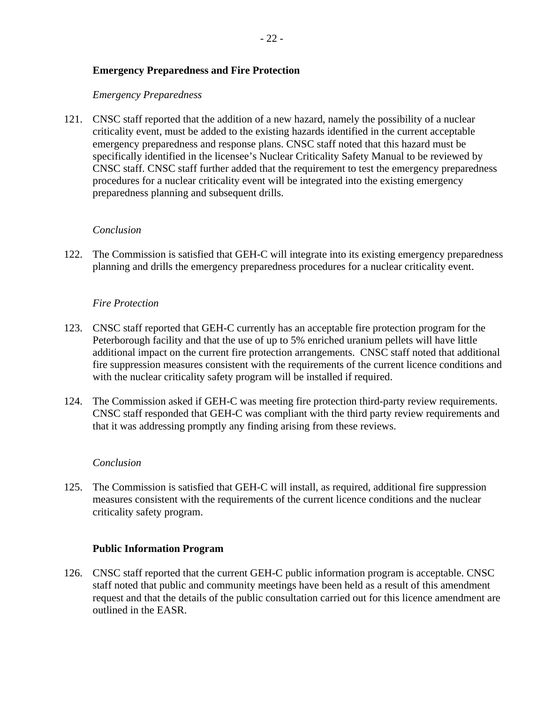#### <span id="page-24-0"></span>**Emergency Preparedness and Fire Protection**

#### *Emergency Preparedness*

121. CNSC staff reported that the addition of a new hazard, namely the possibility of a nuclear criticality event, must be added to the existing hazards identified in the current acceptable emergency preparedness and response plans. CNSC staff noted that this hazard must be specifically identified in the licensee's Nuclear Criticality Safety Manual to be reviewed by CNSC staff. CNSC staff further added that the requirement to test the emergency preparedness procedures for a nuclear criticality event will be integrated into the existing emergency preparedness planning and subsequent drills.

#### *Conclusion*

122. The Commission is satisfied that GEH-C will integrate into its existing emergency preparedness planning and drills the emergency preparedness procedures for a nuclear criticality event.

#### *Fire Protection*

- 123. CNSC staff reported that GEH-C currently has an acceptable fire protection program for the Peterborough facility and that the use of up to 5% enriched uranium pellets will have little additional impact on the current fire protection arrangements. CNSC staff noted that additional fire suppression measures consistent with the requirements of the current licence conditions and with the nuclear criticality safety program will be installed if required.
- 124. The Commission asked if GEH-C was meeting fire protection third-party review requirements. CNSC staff responded that GEH-C was compliant with the third party review requirements and that it was addressing promptly any finding arising from these reviews.

#### *Conclusion*

125. The Commission is satisfied that GEH-C will install, as required, additional fire suppression measures consistent with the requirements of the current licence conditions and the nuclear criticality safety program.

#### **Public Information Program**

126. CNSC staff reported that the current GEH-C public information program is acceptable. CNSC staff noted that public and community meetings have been held as a result of this amendment request and that the details of the public consultation carried out for this licence amendment are outlined in the EASR.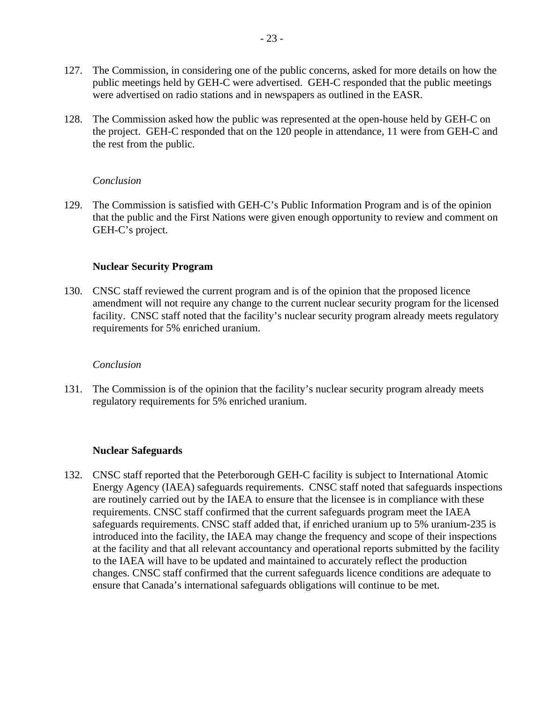- <span id="page-25-0"></span>127. The Commission, in considering one of the public concerns, asked for more details on how the public meetings held by GEH-C were advertised. GEH-C responded that the public meetings were advertised on radio stations and in newspapers as outlined in the EASR.
- 128. The Commission asked how the public was represented at the open-house held by GEH-C on the project. GEH-C responded that on the 120 people in attendance, 11 were from GEH-C and the rest from the public.

129. The Commission is satisfied with GEH-C's Public Information Program and is of the opinion that the public and the First Nations were given enough opportunity to review and comment on GEH-C's project.

#### **Nuclear Security Program**

130. CNSC staff reviewed the current program and is of the opinion that the proposed licence amendment will not require any change to the current nuclear security program for the licensed facility. CNSC staff noted that the facility's nuclear security program already meets regulatory requirements for 5% enriched uranium.

#### *Conclusion*

131. The Commission is of the opinion that the facility's nuclear security program already meets regulatory requirements for 5% enriched uranium.

#### **Nuclear Safeguards**

132. CNSC staff reported that the Peterborough GEH-C facility is subject to International Atomic Energy Agency (IAEA) safeguards requirements. CNSC staff noted that safeguards inspections are routinely carried out by the IAEA to ensure that the licensee is in compliance with these requirements. CNSC staff confirmed that the current safeguards program meet the IAEA safeguards requirements. CNSC staff added that, if enriched uranium up to 5% uranium-235 is introduced into the facility, the IAEA may change the frequency and scope of their inspections at the facility and that all relevant accountancy and operational reports submitted by the facility to the IAEA will have to be updated and maintained to accurately reflect the production changes. CNSC staff confirmed that the current safeguards licence conditions are adequate to ensure that Canada's international safeguards obligations will continue to be met.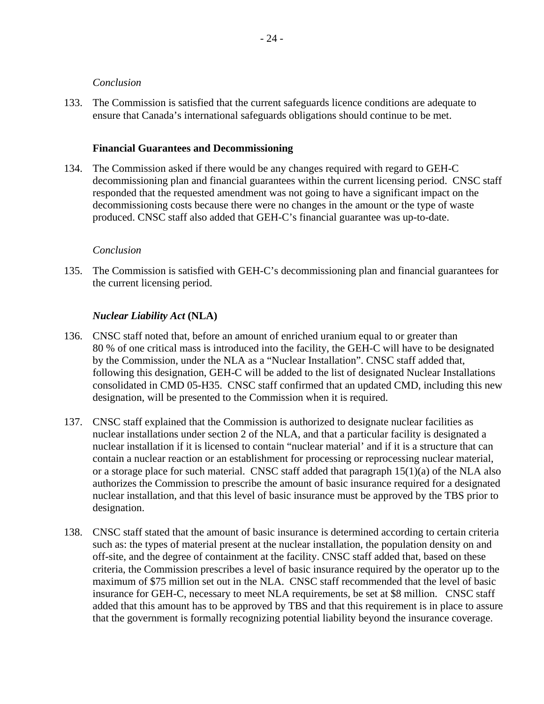<span id="page-26-0"></span>133. The Commission is satisfied that the current safeguards licence conditions are adequate to ensure that Canada's international safeguards obligations should continue to be met.

#### **Financial Guarantees and Decommissioning**

134. The Commission asked if there would be any changes required with regard to GEH-C decommissioning plan and financial guarantees within the current licensing period. CNSC staff responded that the requested amendment was not going to have a significant impact on the decommissioning costs because there were no changes in the amount or the type of waste produced. CNSC staff also added that GEH-C's financial guarantee was up-to-date.

#### *Conclusion*

135. The Commission is satisfied with GEH-C's decommissioning plan and financial guarantees for the current licensing period.

#### *Nuclear Liability Act* **(NLA)**

- 136. CNSC staff noted that, before an amount of enriched uranium equal to or greater than 80 % of one critical mass is introduced into the facility, the GEH-C will have to be designated by the Commission, under the NLA as a "Nuclear Installation". CNSC staff added that, following this designation, GEH-C will be added to the list of designated Nuclear Installations consolidated in CMD 05-H35. CNSC staff confirmed that an updated CMD, including this new designation, will be presented to the Commission when it is required.
- 137. CNSC staff explained that the Commission is authorized to designate nuclear facilities as nuclear installations under section 2 of the NLA, and that a particular facility is designated a nuclear installation if it is licensed to contain "nuclear material' and if it is a structure that can contain a nuclear reaction or an establishment for processing or reprocessing nuclear material, or a storage place for such material. CNSC staff added that paragraph 15(1)(a) of the NLA also authorizes the Commission to prescribe the amount of basic insurance required for a designated nuclear installation, and that this level of basic insurance must be approved by the TBS prior to designation.
- 138. CNSC staff stated that the amount of basic insurance is determined according to certain criteria such as: the types of material present at the nuclear installation, the population density on and off-site, and the degree of containment at the facility. CNSC staff added that, based on these criteria, the Commission prescribes a level of basic insurance required by the operator up to the maximum of \$75 million set out in the NLA. CNSC staff recommended that the level of basic insurance for GEH-C, necessary to meet NLA requirements, be set at \$8 million. CNSC staff added that this amount has to be approved by TBS and that this requirement is in place to assure that the government is formally recognizing potential liability beyond the insurance coverage.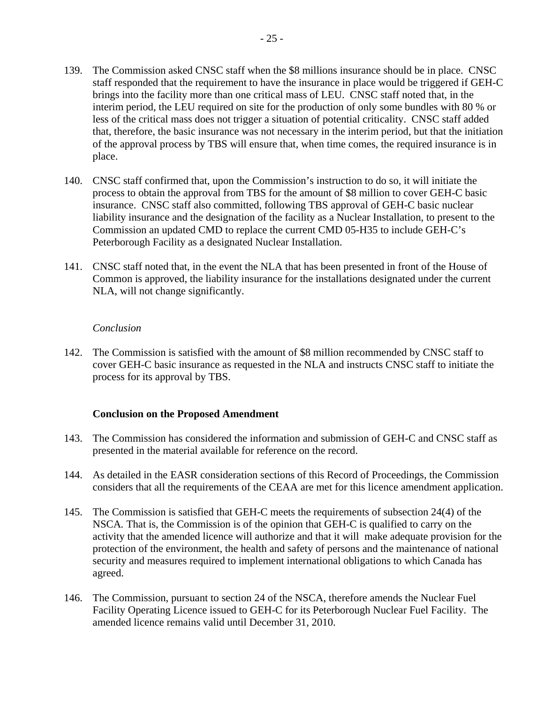- <span id="page-27-0"></span>139. The Commission asked CNSC staff when the \$8 millions insurance should be in place. CNSC staff responded that the requirement to have the insurance in place would be triggered if GEH-C brings into the facility more than one critical mass of LEU. CNSC staff noted that, in the interim period, the LEU required on site for the production of only some bundles with 80 % or less of the critical mass does not trigger a situation of potential criticality. CNSC staff added that, therefore, the basic insurance was not necessary in the interim period, but that the initiation of the approval process by TBS will ensure that, when time comes, the required insurance is in place.
- 140. CNSC staff confirmed that, upon the Commission's instruction to do so, it will initiate the process to obtain the approval from TBS for the amount of \$8 million to cover GEH-C basic insurance. CNSC staff also committed, following TBS approval of GEH-C basic nuclear liability insurance and the designation of the facility as a Nuclear Installation, to present to the Commission an updated CMD to replace the current CMD 05-H35 to include GEH-C's Peterborough Facility as a designated Nuclear Installation.
- 141. CNSC staff noted that, in the event the NLA that has been presented in front of the House of Common is approved, the liability insurance for the installations designated under the current NLA, will not change significantly.

142. The Commission is satisfied with the amount of \$8 million recommended by CNSC staff to cover GEH-C basic insurance as requested in the NLA and instructs CNSC staff to initiate the process for its approval by TBS.

#### **Conclusion on the Proposed Amendment**

- 143. The Commission has considered the information and submission of GEH-C and CNSC staff as presented in the material available for reference on the record.
- 144. As detailed in the EASR consideration sections of this Record of Proceedings, the Commission considers that all the requirements of the CEAA are met for this licence amendment application.
- 145. The Commission is satisfied that GEH-C meets the requirements of subsection 24(4) of the NSCA*.* That is, the Commission is of the opinion that GEH-C is qualified to carry on the activity that the amended licence will authorize and that it will make adequate provision for the protection of the environment, the health and safety of persons and the maintenance of national security and measures required to implement international obligations to which Canada has agreed.
- 146. The Commission, pursuant to section 24 of the NSCA, therefore amends the Nuclear Fuel Facility Operating Licence issued to GEH-C for its Peterborough Nuclear Fuel Facility. The amended licence remains valid until December 31, 2010.